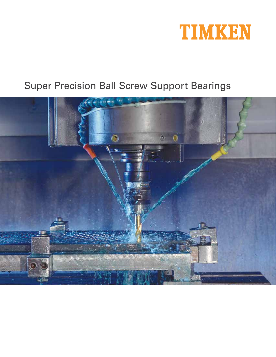

# Super Precision Ball Screw Support Bearings

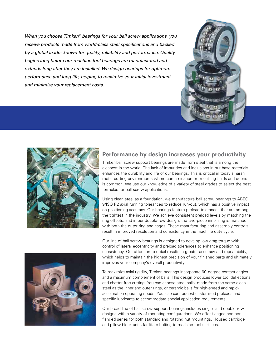When you choose Timken<sup>®</sup> bearings for your ball screw applications, you receive products made from world-class steel specifications and backed by a global leader known for quality, reliability and performance. Quality begins long before our machine tool bearings are manufactured and extends long after they are installed. We design bearings for optimum performance and long life, helping to maximize your initial investment and minimize your replacement costs.





#### **Performance by design increases your productivity**

Timken ball screw support bearings are made from steel that is among the cleanest in the world. The lack of impurities and inclusions in our base materials enhances the durability and life of our bearings. This is critical in today's harsh metal-cutting environments where contamination from cutting fluids and debris is common. We use our knowledge of a variety of steel grades to select the best formulas for ball screw applications.

Using clean steel as a foundation, we manufacture ball screw bearings to ABEC 9/ISO P2 axial running tolerances to reduce run-out, which has a positive impact on positioning accuracy. Our bearings feature preload tolerances that are among the tightest in the industry. We achieve consistent preload levels by matching the ring offsets, and in our double-row design, the two-piece inner ring is matched with both the outer ring and cages. These manufacturing and assembly controls result in improved resolution and consistency in the machine duty cycle.



Our line of ball screw bearings is designed to develop low drag torque with control of lateral eccentricity and preload tolerances to enhance positioning consistency. Our attention to detail results in greater accuracy and repeatability, which helps to maintain the highest precision of your finished parts and ultimately improves your company's overall productivity.

To maximize axial rigidity, Timken bearings incorporate 60-degree contact angles and a maximum complement of balls. This design produces lower tool deflections and chatter-free cutting. You can choose steel balls, made from the same clean steel as the inner and outer rings, or ceramic balls for high-speed and rapidacceleration operating needs. You also can request customized preloads and specific lubricants to accommodate special application requirements.

Our broad line of ball screw support bearings includes single- and double-row designs with a variety of mounting configurations. We offer flanged and nonflanged series for both standard and rotating nut mountings. Housed cartridge and pillow block units facilitate bolting to machine tool surfaces.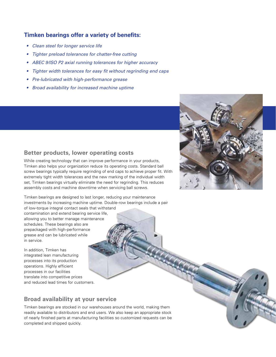#### **Timken bearings offer a variety of benefits:**

- Clean steel for longer service life
- Tighter preload tolerances for chatter-free cutting
- ABEC 9/ISO P2 axial running tolerances for higher accuracy
- Tighter width tolerances for easy fit without regrinding end caps
- Pre-lubricated with high-performance grease
- Broad availability for increased machine uptime



### **Better products, lower operating costs**

While creating technology that can improve performance in your products, Timken also helps your organization reduce its operating costs. Standard ball screw bearings typically require regrinding of end caps to achieve proper fit. With extremely tight width tolerances and the new marking of the individual width set, Timken bearings virtually eliminate the need for regrinding. This reduces assembly costs and machine downtime when servicing ball screws.

Timken bearings are designed to last longer, reducing your maintenance investments by increasing machine uptime. Double-row bearings include a pair of low-torque integral contact seals that withstand contamination and extend bearing service life, allowing you to better manage maintenance schedules. These bearings also are

prepackaged with high-performance grease and can be lubricated while in service. In addition, Timken has integrated lean manufacturing

processes into its production operations. Highly efficient processes in our facilities translate into competitive prices and reduced lead times for customers.

## **Broad availability at your service**

Timken bearings are stocked in our warehouses around the world, making them readily available to distributors and end users. We also keep an appropriate stock of nearly finished parts at manufacturing facilities so customized requests can be completed and shipped quickly.